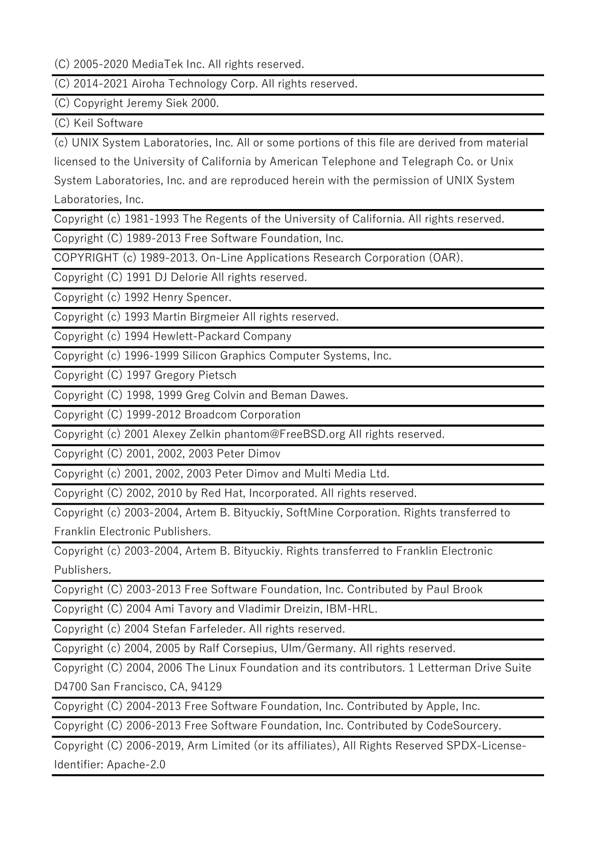(C) 2005-2020 MediaTek Inc. All rights reserved.

(C) 2014-2021 Airoha Technology Corp. All rights reserved.

(C) Copyright Jeremy Siek 2000.

(C) Keil Software

(c) UNIX System Laboratories, Inc. All or some portions of this file are derived from material

licensed to the University of California by American Telephone and Telegraph Co. or Unix System Laboratories, Inc. and are reproduced herein with the permission of UNIX System Laboratories, Inc.

Copyright (c) 1981-1993 The Regents of the University of California. All rights reserved.

Copyright (C) 1989-2013 Free Software Foundation, Inc.

COPYRIGHT (c) 1989-2013. On-Line Applications Research Corporation (OAR).

Copyright (C) 1991 DJ Delorie All rights reserved.

Copyright (c) 1992 Henry Spencer.

Copyright (c) 1993 Martin Birgmeier All rights reserved.

Copyright (c) 1994 Hewlett-Packard Company

Copyright (c) 1996-1999 Silicon Graphics Computer Systems, Inc.

Copyright (C) 1997 Gregory Pietsch

Copyright (C) 1998, 1999 Greg Colvin and Beman Dawes.

Copyright (C) 1999-2012 Broadcom Corporation

Copyright (c) 2001 Alexey Zelkin phantom@FreeBSD.org All rights reserved.

Copyright (C) 2001, 2002, 2003 Peter Dimov

Copyright (c) 2001, 2002, 2003 Peter Dimov and Multi Media Ltd.

Copyright (C) 2002, 2010 by Red Hat, Incorporated. All rights reserved.

Copyright (c) 2003-2004, Artem B. Bityuckiy, SoftMine Corporation. Rights transferred to Franklin Electronic Publishers.

Copyright (c) 2003-2004, Artem B. Bityuckiy. Rights transferred to Franklin Electronic Publishers.

Copyright (C) 2003-2013 Free Software Foundation, Inc. Contributed by Paul Brook

Copyright (C) 2004 Ami Tavory and Vladimir Dreizin, IBM-HRL.

Copyright (c) 2004 Stefan Farfeleder. All rights reserved.

Copyright (c) 2004, 2005 by Ralf Corsepius, Ulm/Germany. All rights reserved.

Copyright (C) 2004, 2006 The Linux Foundation and its contributors. 1 Letterman Drive Suite D4700 San Francisco, CA, 94129

Copyright (C) 2004-2013 Free Software Foundation, Inc. Contributed by Apple, Inc.

Copyright (C) 2006-2013 Free Software Foundation, Inc. Contributed by CodeSourcery.

Copyright (C) 2006-2019, Arm Limited (or its affiliates), All Rights Reserved SPDX-License-Identifier: Apache-2.0